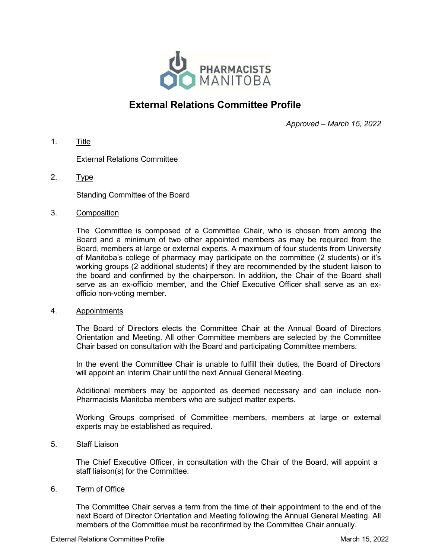

# External Relations Committee Profile

Approved – March 15, 2022

1. Title

External Relations Committee

2. Type

Standing Committee of the Board

3. Composition

The Committee is composed of a Committee Chair, who is chosen from among the Board and a minimum of two other appointed members as may be required from the Board, members at large or external experts. A maximum of four students from University of Manitoba's college of pharmacy may participate on the committee (2 students) or it's working groups (2 additional students) if they are recommended by the student liaison to the board and confirmed by the chairperson. In addition, the Chair of the Board shall serve as an ex-officio member, and the Chief Executive Officer shall serve as an exofficio non-voting member.

### 4. Appointments

The Board of Directors elects the Committee Chair at the Annual Board of Directors Orientation and Meeting. All other Committee members are selected by the Committee Chair based on consultation with the Board and participating Committee members.

In the event the Committee Chair is unable to fulfill their duties, the Board of Directors will appoint an Interim Chair until the next Annual General Meeting.

Additional members may be appointed as deemed necessary and can include non-Pharmacists Manitoba members who are subject matter experts.

Working Groups comprised of Committee members, members at large or external experts may be established as required.

5. Staff Liaison

The Chief Executive Officer, in consultation with the Chair of the Board, will appoint a staff liaison(s) for the Committee.

6. Term of Office

The Committee Chair serves a term from the time of their appointment to the end of the next Board of Director Orientation and Meeting following the Annual General Meeting. All members of the Committee must be reconfirmed by the Committee Chair annually.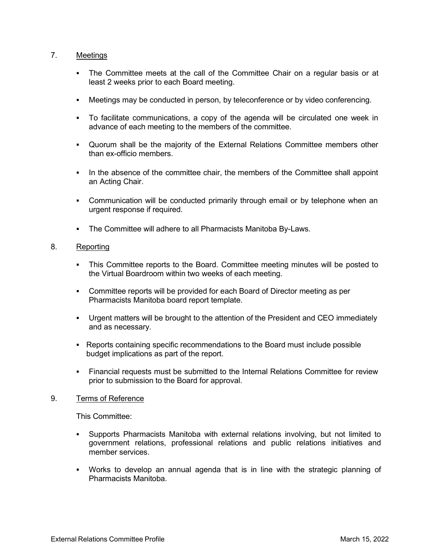## 7. Meetings

- The Committee meets at the call of the Committee Chair on a regular basis or at least 2 weeks prior to each Board meeting.
- Meetings may be conducted in person, by teleconference or by video conferencing.
- To facilitate communications, a copy of the agenda will be circulated one week in advance of each meeting to the members of the committee.
- Quorum shall be the majority of the External Relations Committee members other than ex-officio members.
- In the absence of the committee chair, the members of the Committee shall appoint an Acting Chair.
- Communication will be conducted primarily through email or by telephone when an urgent response if required.
- **The Committee will adhere to all Pharmacists Manitoba By-Laws.**

## 8. Reporting

- This Committee reports to the Board. Committee meeting minutes will be posted to the Virtual Boardroom within two weeks of each meeting.
- **Committee reports will be provided for each Board of Director meeting as per** Pharmacists Manitoba board report template.
- Urgent matters will be brought to the attention of the President and CEO immediately and as necessary.
- Reports containing specific recommendations to the Board must include possible budget implications as part of the report.
- Financial requests must be submitted to the Internal Relations Committee for review prior to submission to the Board for approval.

### 9. Terms of Reference

This Committee:

- Supports Pharmacists Manitoba with external relations involving, but not limited to government relations, professional relations and public relations initiatives and member services.
- Works to develop an annual agenda that is in line with the strategic planning of Pharmacists Manitoba.